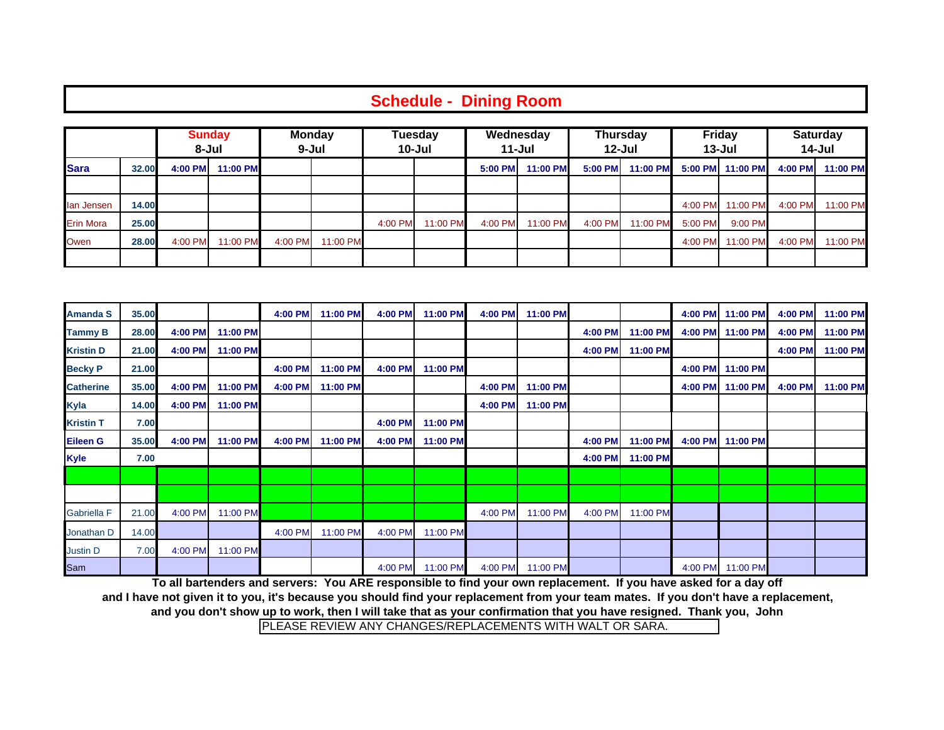|                  | <b>Schedule - Dining Room</b> |                        |          |                        |          |                   |          |                         |          |                               |          |                             |                  |                           |          |
|------------------|-------------------------------|------------------------|----------|------------------------|----------|-------------------|----------|-------------------------|----------|-------------------------------|----------|-----------------------------|------------------|---------------------------|----------|
| <b>Sara</b>      |                               | <b>Sunday</b><br>8-Jul |          | <b>Monday</b><br>9-Jul |          | Tuesday<br>10-Jul |          | Wednesday<br>$11 -$ Jul |          | <b>Thursday</b><br>$12 -$ Jul |          | <b>Friday</b><br>$13 -$ Jul |                  | <b>Saturday</b><br>14-Jul |          |
|                  | 32.00                         | 4:00 PM                | 11:00 PM |                        |          |                   |          | 5:00 PM                 | 11:00 PM | 5:00 PM                       | 11:00 PM |                             | 5:00 PM 11:00 PM | 4:00 PM                   | 11:00 PM |
| lan Jensen       | 14.00                         |                        |          |                        |          |                   |          |                         |          |                               |          | 4:00 PM                     | 11:00 PM         | 4:00 PM                   | 11:00 PM |
| <b>Erin Mora</b> | 25.00                         |                        |          |                        |          | 4:00 PM           | 11:00 PM | 4:00 PM                 | 11:00 PM | 4:00 PM                       | 11:00 PM | 5:00 PM                     | 9:00 PM          |                           |          |
| Owen             | 28.00                         | 4:00 PM                | 11:00 PM | 4:00 PM                | 11:00 PM |                   |          |                         |          |                               |          | 4:00 PM                     | 11:00 PM         | 4:00 PM                   | 11:00 PM |
|                  |                               |                        |          |                        |          |                   |          |                         |          |                               |          |                             |                  |                           |          |

| <b>Amanda S</b>    | 35.00 |         |          | 4:00 PM | 11:00 PM | 4:00 PM | 11:00 PM | 4:00 PM | 11:00 PM |         |          |         | 4:00 PM 11:00 PM | 4:00 PM | 11:00 PM |
|--------------------|-------|---------|----------|---------|----------|---------|----------|---------|----------|---------|----------|---------|------------------|---------|----------|
| <b>Tammy B</b>     | 28.00 | 4:00 PM | 11:00 PM |         |          |         |          |         |          | 4:00 PM | 11:00 PM | 4:00 PM | 11:00 PM         | 4:00 PM | 11:00 PM |
| <b>Kristin D</b>   | 21.00 | 4:00 PM | 11:00 PM |         |          |         |          |         |          | 4:00 PM | 11:00 PM |         |                  | 4:00 PM | 11:00 PM |
| <b>Becky P</b>     | 21.00 |         |          | 4:00 PM | 11:00 PM | 4:00 PM | 11:00 PM |         |          |         |          |         | 4:00 PM 11:00 PM |         |          |
| <b>Catherine</b>   | 35.00 | 4:00 PM | 11:00 PM | 4:00 PM | 11:00 PM |         |          | 4:00 PM | 11:00 PM |         |          |         | 4:00 PM 11:00 PM | 4:00 PM | 11:00 PM |
| <b>Kyla</b>        | 14.00 | 4:00 PM | 11:00 PM |         |          |         |          | 4:00 PM | 11:00 PM |         |          |         |                  |         |          |
| <b>Kristin T</b>   | 7.00  |         |          |         |          | 4:00 PM | 11:00 PM |         |          |         |          |         |                  |         |          |
| <b>Eileen G</b>    | 35.00 | 4:00 PM | 11:00 PM | 4:00 PM | 11:00 PM | 4:00 PM | 11:00 PM |         |          | 4:00 PM | 11:00 PM | 4:00 PM | 11:00 PM         |         |          |
| <b>Kyle</b>        | 7.00  |         |          |         |          |         |          |         |          | 4:00 PM | 11:00 PM |         |                  |         |          |
|                    |       |         |          |         |          |         |          |         |          |         |          |         |                  |         |          |
|                    |       |         |          |         |          |         |          |         |          |         |          |         |                  |         |          |
| <b>Gabriella F</b> | 21.00 | 4:00 PM | 11:00 PM |         |          |         |          | 4:00 PM | 11:00 PM | 4:00 PM | 11:00 PM |         |                  |         |          |
| Jonathan D         | 14.00 |         |          | 4:00 PM | 11:00 PM | 4:00 PM | 11:00 PM |         |          |         |          |         |                  |         |          |
| Justin D           | 7.00  | 4:00 PM | 11:00 PM |         |          |         |          |         |          |         |          |         |                  |         |          |
| Sam                |       |         |          |         |          | 4:00 PM | 11:00 PM | 4:00 PM | 11:00 PM |         |          | 4:00 PM | 11:00 PM         |         |          |

**and you don't show up to work, then I will take that as your confirmation that you have resigned. Thank you, John To all bartenders and servers: You ARE responsible to find your own replacement. If you have asked for a day off and I have not given it to you, it's because you should find your replacement from your team mates. If you don't have a replacement,**

PLEASE REVIEW ANY CHANGES/REPLACEMENTS WITH WALT OR SARA.